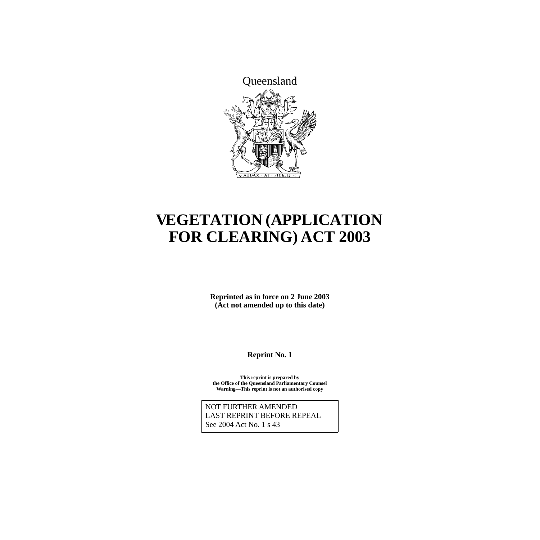

# **VEGETATION (APPLICATION FOR CLEARING) ACT 2003**

**Reprinted as in force on 2 June 2003 (Act not amended up to this date)**

**Reprint No. 1**

**This reprint is prepared by the Office of the Queensland Parliamentary Counsel Warning—This reprint is not an authorised copy**

NOT FURTHER AMENDED LAST REPRINT BEFORE REPEAL See 2004 Act No. 1 s 43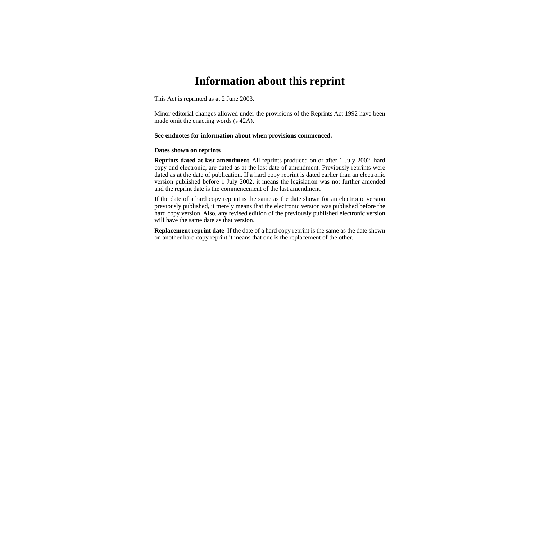# **Information about this reprint**

This Act is reprinted as at 2 June 2003.

Minor editorial changes allowed under the provisions of the Reprints Act 1992 have been made omit the enacting words (s 42A).

#### **See endnotes for information about when provisions commenced.**

#### **Dates shown on reprints**

**Reprints dated at last amendment** All reprints produced on or after 1 July 2002, hard copy and electronic, are dated as at the last date of amendment. Previously reprints were dated as at the date of publication. If a hard copy reprint is dated earlier than an electronic version published before 1 July 2002, it means the legislation was not further amended and the reprint date is the commencement of the last amendment.

If the date of a hard copy reprint is the same as the date shown for an electronic version previously published, it merely means that the electronic version was published before the hard copy version. Also, any revised edition of the previously published electronic version will have the same date as that version.

**Replacement reprint date** If the date of a hard copy reprint is the same as the date shown on another hard copy reprint it means that one is the replacement of the other.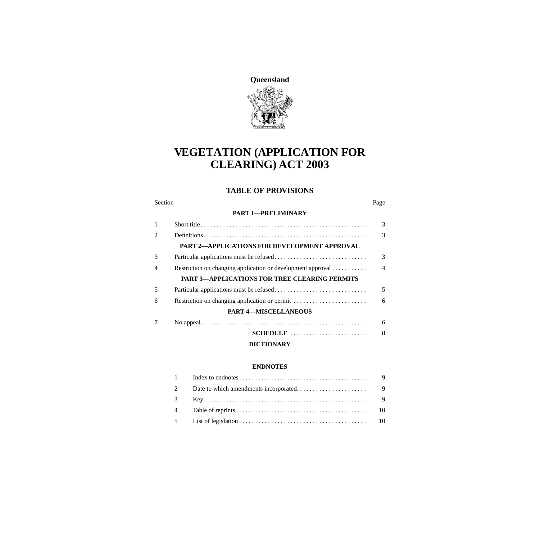

# **VEGETATION (APPLICATION FOR CLEARING) ACT 2003**

### **TABLE OF PROVISIONS**

#### Section Page

#### **[PART 1—PRELIMINARY](#page-4-0)**

| $\mathbf{1}$   |                                                             | 3              |
|----------------|-------------------------------------------------------------|----------------|
| $\mathfrak{D}$ |                                                             | 3              |
|                | <b>PART 2-APPLICATIONS FOR DEVELOPMENT APPROVAL</b>         |                |
| 3              |                                                             | $\mathcal{F}$  |
| $\overline{4}$ | Restriction on changing application or development approval | $\overline{4}$ |
|                | <b>PART 3-APPLICATIONS FOR TREE CLEARING PERMITS</b>        |                |
| 5              |                                                             | 5              |
| 6              | Restriction on changing application or permit               | 6              |
|                | <b>PART 4-MISCELLANEOUS</b>                                 |                |
| 7              |                                                             | 6              |
|                | SCHEDULE                                                    | 8              |
|                | <b>DICTIONARY</b>                                           |                |

#### **[ENDNOTES](#page-10-0)**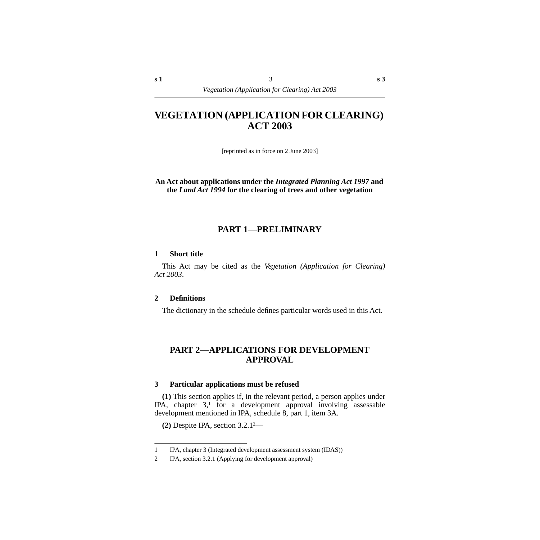# **VEGETATION (APPLICATION FOR CLEARING) ACT 2003**

[reprinted as in force on 2 June 2003]

**An Act about applications under the** *Integrated Planning Act 1997* **and the** *Land Act 1994* **for the clearing of trees and other vegetation**

## **PART 1—PRELIMINARY**

#### <span id="page-4-1"></span><span id="page-4-0"></span>**1 Short title**

This Act may be cited as the *Vegetation (Application for Clearing) Act 2003*.

#### <span id="page-4-2"></span>**2 Definitions**

The dictionary in the schedule defines particular words used in this Act.

# <span id="page-4-3"></span>**PART 2—APPLICATIONS FOR DEVELOPMENT APPROVAL**

#### <span id="page-4-4"></span>**3 Particular applications must be refused**

**(1)** This section applies if, in the relevant period, a person applies under IPA, chapter  $3<sup>1</sup>$  for a development approval involving assessable development mentioned in IPA, schedule 8, part 1, item 3A.

**(2)** Despite IPA, section 3.2.12—

<sup>1</sup> IPA, chapter 3 (Integrated development assessment system (IDAS))

<sup>2</sup> IPA, section 3.2.1 (Applying for development approval)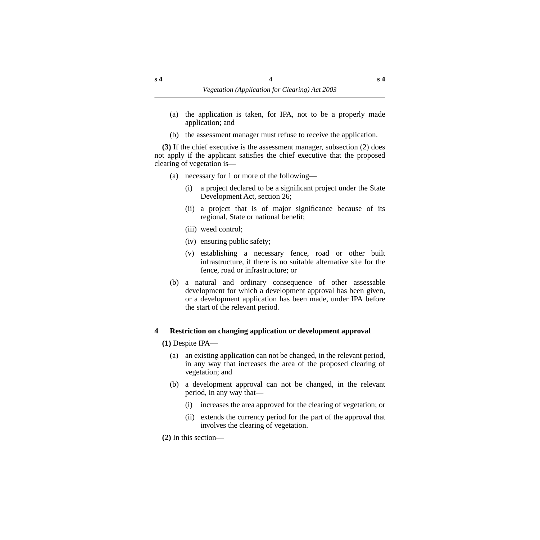- (a) the application is taken, for IPA, not to be a properly made application; and
- (b) the assessment manager must refuse to receive the application.

**(3)** If the chief executive is the assessment manager, subsection (2) does not apply if the applicant satisfies the chief executive that the proposed clearing of vegetation is—

- (a) necessary for 1 or more of the following—
	- (i) a project declared to be a significant project under the State Development Act, section 26;
	- (ii) a project that is of major significance because of its regional, State or national benefit;
	- (iii) weed control;
	- (iv) ensuring public safety;
	- (v) establishing a necessary fence, road or other built infrastructure, if there is no suitable alternative site for the fence, road or infrastructure; or
- (b) a natural and ordinary consequence of other assessable development for which a development approval has been given, or a development application has been made, under IPA before the start of the relevant period.

### <span id="page-5-0"></span>**4 Restriction on changing application or development approval**

**(1)** Despite IPA—

- (a) an existing application can not be changed, in the relevant period, in any way that increases the area of the proposed clearing of vegetation; and
- (b) a development approval can not be changed, in the relevant period, in any way that—
	- (i) increases the area approved for the clearing of vegetation; or
	- (ii) extends the currency period for the part of the approval that involves the clearing of vegetation.
- **(2)** In this section—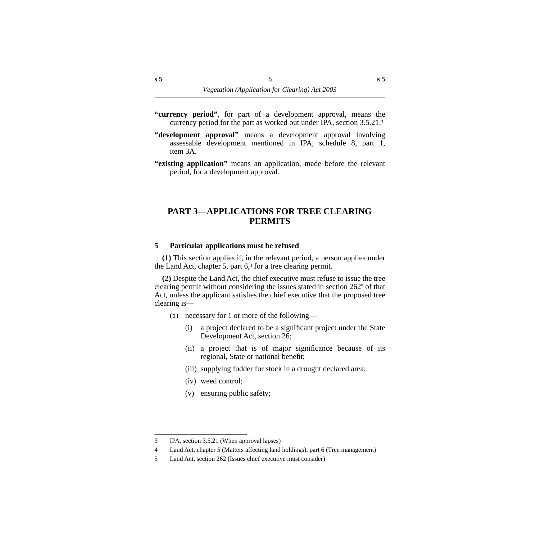- **"currency period"**, for part of a development approval, means the currency period for the part as worked out under IPA, section 3.5.21.3
- **"development approval"** means a development approval involving assessable development mentioned in IPA, schedule 8, part 1, item 3A.
- **"existing application"** means an application, made before the relevant period, for a development approval.

# <span id="page-6-0"></span>**PART 3—APPLICATIONS FOR TREE CLEARING PERMITS**

#### <span id="page-6-1"></span>**5 Particular applications must be refused**

**(1)** This section applies if, in the relevant period, a person applies under the Land Act, chapter 5, part  $6<sup>4</sup>$  for a tree clearing permit.

**(2)** Despite the Land Act, the chief executive must refuse to issue the tree clearing permit without considering the issues stated in section 2625 of that Act, unless the applicant satisfies the chief executive that the proposed tree clearing is—

- (a) necessary for 1 or more of the following—
	- (i) a project declared to be a significant project under the State Development Act, section 26;
	- (ii) a project that is of major significance because of its regional, State or national benefit;
	- (iii) supplying fodder for stock in a drought declared area;
	- (iv) weed control;
	- (v) ensuring public safety;

<sup>3</sup> IPA, section 3.5.21 (When approval lapses)

<sup>4</sup> Land Act, chapter 5 (Matters affecting land holdings), part 6 (Tree management)

<sup>5</sup> Land Act, section 262 (Issues chief executive must consider)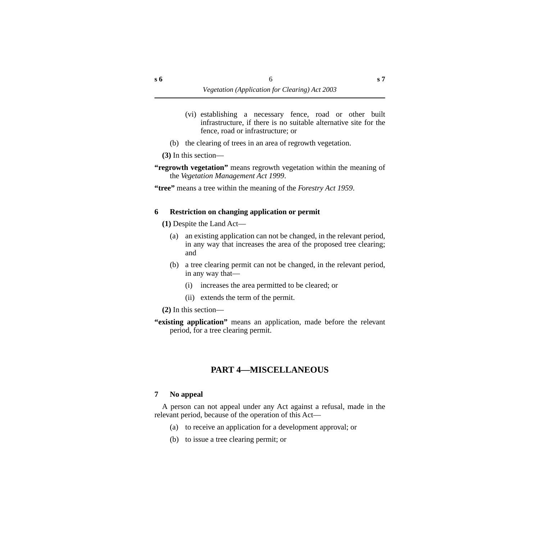- (vi) establishing a necessary fence, road or other built infrastructure, if there is no suitable alternative site for the fence, road or infrastructure; or
- (b) the clearing of trees in an area of regrowth vegetation.

**(3)** In this section—

**"regrowth vegetation"** means regrowth vegetation within the meaning of the *Vegetation Management Act 1999*.

**"tree"** means a tree within the meaning of the *Forestry Act 1959*.

#### <span id="page-7-0"></span>**6 Restriction on changing application or permit**

**(1)** Despite the Land Act—

- (a) an existing application can not be changed, in the relevant period, in any way that increases the area of the proposed tree clearing; and
- (b) a tree clearing permit can not be changed, in the relevant period, in any way that—
	- (i) increases the area permitted to be cleared; or
	- (ii) extends the term of the permit.

**(2)** In this section—

**"existing application"** means an application, made before the relevant period, for a tree clearing permit.

# **PART 4—MISCELLANEOUS**

#### <span id="page-7-2"></span><span id="page-7-1"></span>**7 No appeal**

A person can not appeal under any Act against a refusal, made in the relevant period, because of the operation of this Act—

- (a) to receive an application for a development approval; or
- (b) to issue a tree clearing permit; or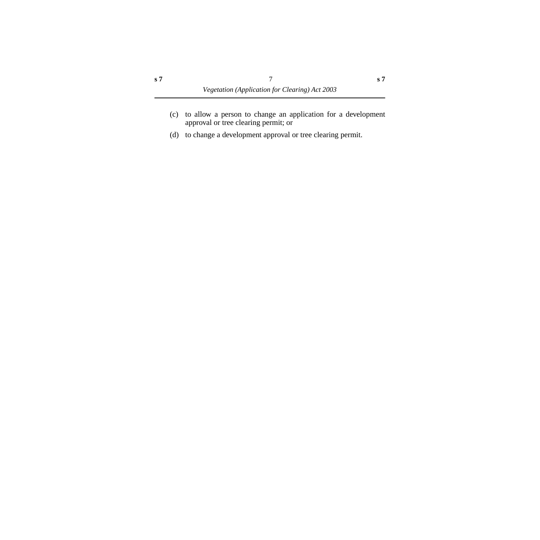- (c) to allow a person to change an application for a development approval or tree clearing permit; or
- (d) to change a development approval or tree clearing permit.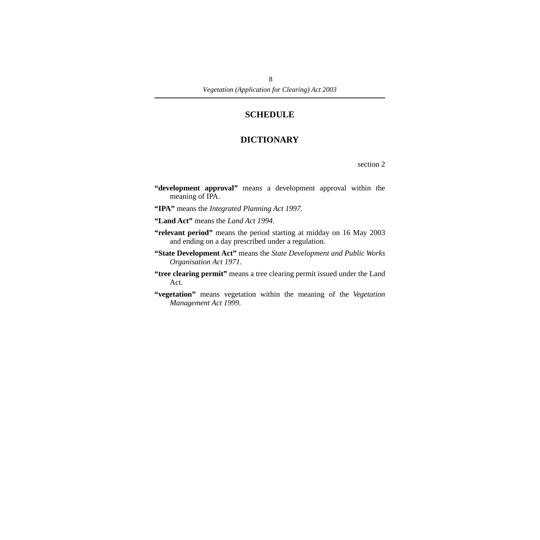# **SCHEDULE**

# **DICTIONARY**

section 2

- <span id="page-9-1"></span><span id="page-9-0"></span>**"development approval"** means a development approval within the meaning of IPA.
- **"IPA"** means the *Integrated Planning Act 1997.*
- **"Land Act"** means the *Land Act 1994*.
- **"relevant period"** means the period starting at midday on 16 May 2003 and ending on a day prescribed under a regulation.
- **"State Development Act"** means the *State Development and Public Works Organisation Act 1971.*
- **"tree clearing permit"** means a tree clearing permit issued under the Land Act.
- **"vegetation"** means vegetation within the meaning of the *Vegetation Management Act 1999.*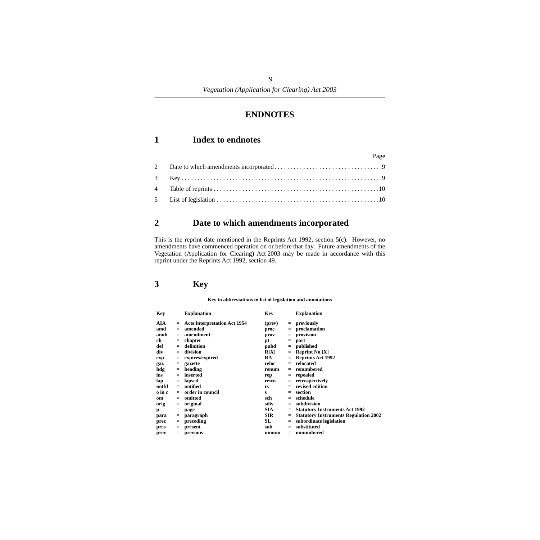# **ENDNOTES**

# <span id="page-10-1"></span><span id="page-10-0"></span>**1 Index to endnotes**

| Page |
|------|
|      |
|      |
|      |
|      |
|      |

# <span id="page-10-2"></span>**2 Date to which amendments incorporated**

This is the reprint date mentioned in the Reprints Act 1992, section 5(c). However, no amendments have commenced operation on or before that day. Future amendments of the Vegetation (Application for Clearing) Act 2003 may be made in accordance with this reprint under the Reprints Act 1992, section 49.

# <span id="page-10-3"></span>**3 Key**

#### **Key to abbreviations in list of legislation and annotations**

| Key    |     | <b>Explanation</b>               | Key        |     | <b>Explanation</b>                           |
|--------|-----|----------------------------------|------------|-----|----------------------------------------------|
| AIA    |     | $=$ Acts Interpretation Act 1954 | (prev)     |     | $=$ previously                               |
| amd    | $=$ | amended                          | proc       | $=$ | proclamation                                 |
| amdt   | $=$ | amendment                        | prov       | $=$ | provision                                    |
| ch     | $=$ | chapter                          | рt         | $=$ | part                                         |
| def    | $=$ | definition                       | pubd       |     | $=$ published                                |
| div    | $=$ | division                         | R[X]       |     | $=$ Reprint No.[X]                           |
| exp    |     | $=$ expires/expired              | RA         |     | $=$ Reprints Act 1992                        |
| gaz    |     | $=$ gazette                      | reloc      | $=$ | relocated                                    |
| hdg    |     | $=$ heading                      | renum      | $=$ | renumbered                                   |
| ins    |     | $=$ inserted                     | rep        | $=$ | repealed                                     |
| lap    | $=$ | lapsed                           | retro      | $=$ | retrospectively                              |
| notfd  |     | $=$ notified                     | rv         |     | revised edition                              |
| o in c | $=$ | order in council                 | s          | $=$ | section                                      |
| om     |     | $=$ omitted                      | sch        | $=$ | schedule                                     |
| orig   | $=$ | original                         | sdiv       |     | subdivision                                  |
| p      | $=$ | page                             | <b>SIA</b> |     | <b>Statutory Instruments Act 1992</b>        |
| para   | $=$ | paragraph                        | <b>SIR</b> |     | <b>Statutory Instruments Regulation 2002</b> |
| prec   |     | $=$ preceding                    | SL         |     | subordinate legislation                      |
| pres   | $=$ | present                          | sub        | $=$ | substituted                                  |
| prev   | $=$ | previous                         | unnum      | $=$ | unnumbered                                   |